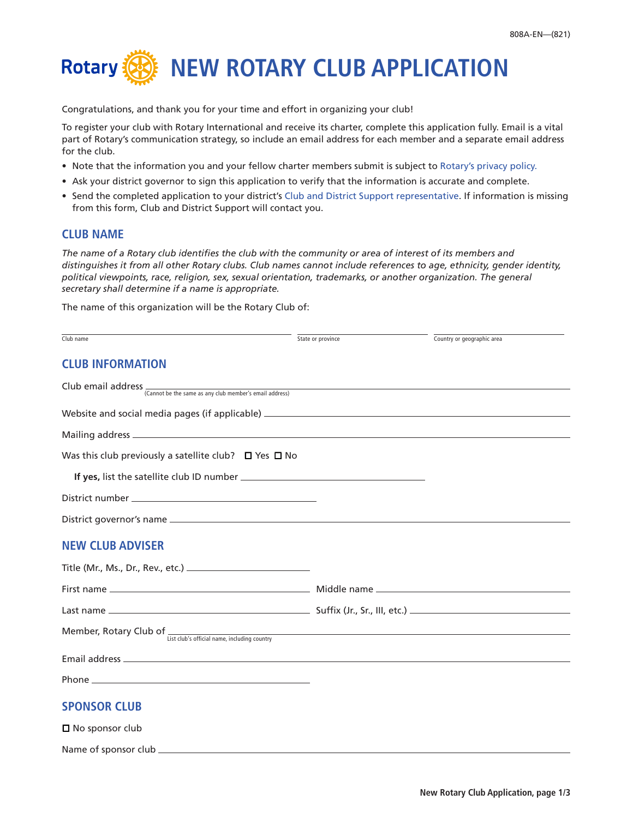

Congratulations, and thank you for your time and effort in organizing your club!

To register your club with Rotary International and receive its charter, complete this application fully. Email is a vital part of Rotary's communication strategy, so include an email address for each member and a separate email address for the club.

- Note that the information you and your fellow charter members submit is subject to [Rotary's privacy policy.](https://www.rotary.org/en/privacy-policy)
- Ask your district governor to sign this application to verify that the information is accurate and complete.
- Send the completed application to your district's [Club and District Support representative.](http://www.rotary.org/cds) If information is missing from this form, Club and District Support will contact you.

## **CLUB NAME**

Name of sponsor club

*The name of a Rotary club identifies the club with the community or area of interest of its members and distinguishes it from all other Rotary clubs. Club names cannot include references to age, ethnicity, gender identity, political viewpoints, race, religion, sex, sexual orientation, trademarks, or another organization. The general secretary shall determine if a name is appropriate.*

The name of this organization will be the Rotary Club of:

| Club name                                                                                                                                                                                                                      | State or province | Country or geographic area |
|--------------------------------------------------------------------------------------------------------------------------------------------------------------------------------------------------------------------------------|-------------------|----------------------------|
| <b>CLUB INFORMATION</b>                                                                                                                                                                                                        |                   |                            |
| Club email address (Cannot be the same as any club member's email address)                                                                                                                                                     |                   |                            |
|                                                                                                                                                                                                                                |                   |                            |
|                                                                                                                                                                                                                                |                   |                            |
| Was this club previously a satellite club? $\Box$ Yes $\Box$ No                                                                                                                                                                |                   |                            |
|                                                                                                                                                                                                                                |                   |                            |
|                                                                                                                                                                                                                                |                   |                            |
|                                                                                                                                                                                                                                |                   |                            |
| <b>NEW CLUB ADVISER</b>                                                                                                                                                                                                        |                   |                            |
|                                                                                                                                                                                                                                |                   |                            |
|                                                                                                                                                                                                                                |                   |                            |
|                                                                                                                                                                                                                                |                   |                            |
| Member, Rotary Club of $\frac{1}{\text{List club's official name, including country}}$                                                                                                                                         |                   |                            |
| Email address and the contract of the contract of the contract of the contract of the contract of the contract of the contract of the contract of the contract of the contract of the contract of the contract of the contract |                   |                            |
|                                                                                                                                                                                                                                |                   |                            |
| <b>SPONSOR CLUB</b>                                                                                                                                                                                                            |                   |                            |
| $\square$ No sponsor club                                                                                                                                                                                                      |                   |                            |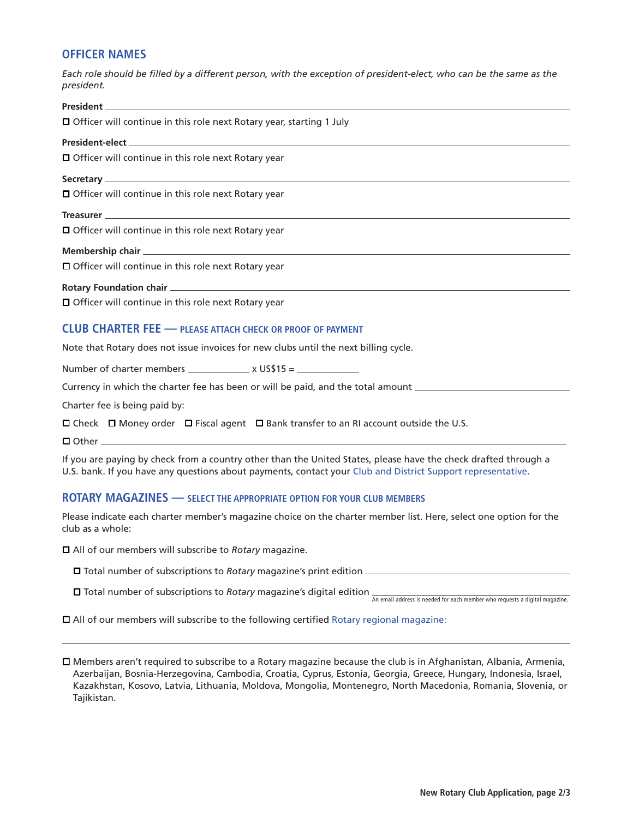# **OFFICER NAMES**

*Each role should be filled by a different person, with the exception of president-elect, who can be the same as the president.*

| $\Box$ Officer will continue in this role next Rotary year, starting 1 July          |  |  |
|--------------------------------------------------------------------------------------|--|--|
|                                                                                      |  |  |
| $\Box$ Officer will continue in this role next Rotary year                           |  |  |
|                                                                                      |  |  |
| $\Box$ Officer will continue in this role next Rotary year                           |  |  |
|                                                                                      |  |  |
| $\Box$ Officer will continue in this role next Rotary year                           |  |  |
|                                                                                      |  |  |
| $\Box$ Officer will continue in this role next Rotary year                           |  |  |
|                                                                                      |  |  |
| □ Officer will continue in this role next Rotary year                                |  |  |
| <b>CLUB CHARTER FEE - PLEASE ATTACH CHECK OR PROOF OF PAYMENT</b>                    |  |  |
| Note that Rotary does not issue invoices for new clubs until the next billing cycle. |  |  |

Number of charter members  $\frac{1}{100}$  x US\$15 =  $\frac{1}{100}$ 

Currency in which the charter fee has been or will be paid, and the total amount

Charter fee is being paid by:

 $\square$  Check  $\square$  Money order  $\square$  Fiscal agent  $\square$  Bank transfer to an RI account outside the U.S.

 $\Box$  Other  $\_\_\_\$ 

If you are paying by check from a country other than the United States, please have the check drafted through a U.S. bank. If you have any questions about payments, contact your [Club and District Support representative](http://www.rotary.org/cds).

## **ROTARY MAGAZINES — SELECT THE APPROPRIATE OPTION FOR YOUR CLUB MEMBERS**

Please indicate each charter member's magazine choice on the charter member list. Here, select one option for the club as a whole:

All of our members will subscribe to *Rotary* magazine.

Total number of subscriptions to *Rotary* magazine's print edition

□ Total number of subscriptions to *Rotary* magazine's digital edition <sub>An email address is needed for each member who requests a digital magazine.</sub>

All of our members will subscribe to the following certified [Rotary regional magazine:](https://my.rotary.org/en/news-media/regional-magazines)

 Members aren't required to subscribe to a Rotary magazine because the club is in Afghanistan, Albania, Armenia, Azerbaijan, Bosnia-Herzegovina, Cambodia, Croatia, Cyprus, Estonia, Georgia, Greece, Hungary, Indonesia, Israel, Kazakhstan, Kosovo, Latvia, Lithuania, Moldova, Mongolia, Montenegro, North Macedonia, Romania, Slovenia, or Tajikistan.